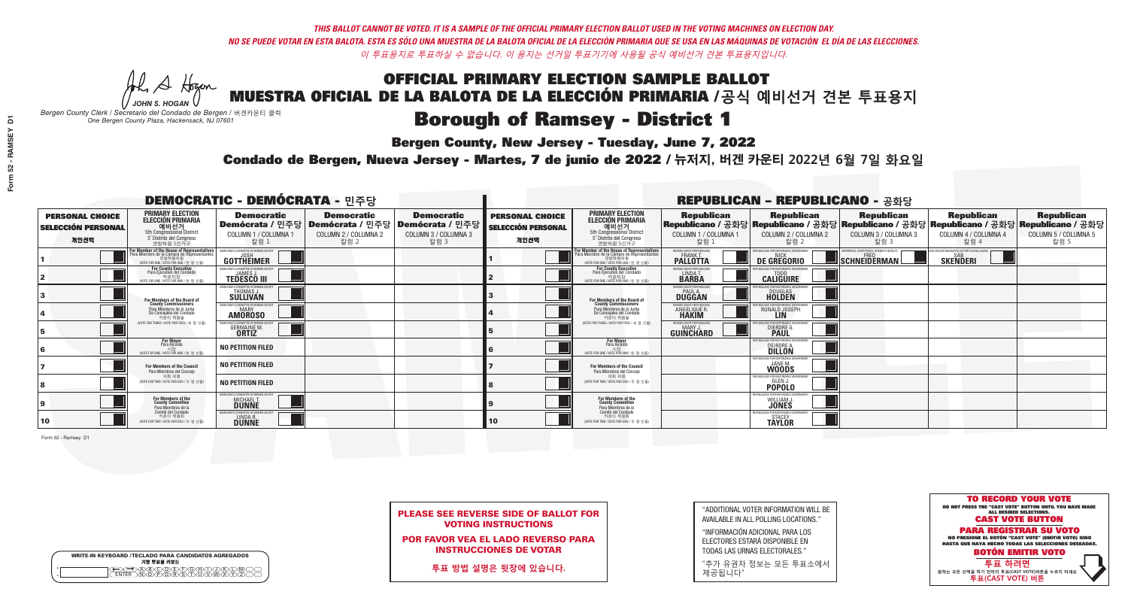**Bergen County, New Jersey - Tuesday, June 7, 2022** 

A Houn *JOHN S. HOGAN*

| <b>WRITE-IN KEYBOARD /TECLADO PARA CANDIDATOS AGREGADOS</b><br>기명 투표용 키보드 |  |
|---------------------------------------------------------------------------|--|
| @@@@@@@@@@@@<br>\@@@@@@@@@@@@@@<br><b>FNTFR</b>                           |  |

*Bergen County Clerk / Secretario del Condado de Bergen /* 버겐카운티 클럭 *One Bergen County Plaza, Hackensack, NJ 07601*



PLEASE SEE REVERSE SIDE OF BALLOT FOR VOTING INSTRUCTIONS

POR FAVOR VEA EL LADO REVERSO PARA INSTRUCCIONES DE VOTAR

**투표 방법 설명은 뒷장에 있습니다.**

"ADDITIONAL VOTER INFORMATION WILL BE AVAILABLE IN ALL POLLING LOCATIONS."

"INFORMACIÓN ADICIONAL PARA LOS ELECTORES ESTARÁ DISPONIBLE EN TODAS LAS URNAS ELECTORALES."

"추가 유권자 정보는 모든 투표소에서 제공됩니다"

Condado de Bergen, Nueva Jersey - Martes, 7 de junio de 2022 / 뉴저지, 버겐 카운티 2022년 6월 7일 화요일 *One Bergen County Plaza, Hackensack, NJ 07601*

|                                                             |                                                                                                                                               | <b>DEMOCRATIC - DEMÓCRATA - 민주당</b>                              |                                                   |                                                                                                        |                                                             |                                                                                                                                            |                                                               | <b>REPUBLICAN - REPUBLICANO - 공화당</b>                                                                                                          |                                                           |                                                                 |                                                   |
|-------------------------------------------------------------|-----------------------------------------------------------------------------------------------------------------------------------------------|------------------------------------------------------------------|---------------------------------------------------|--------------------------------------------------------------------------------------------------------|-------------------------------------------------------------|--------------------------------------------------------------------------------------------------------------------------------------------|---------------------------------------------------------------|------------------------------------------------------------------------------------------------------------------------------------------------|-----------------------------------------------------------|-----------------------------------------------------------------|---------------------------------------------------|
| <b>PERSONAL CHOICE</b><br><b>SELECCIÓN PERSONAL</b><br>개인선택 | <b>PRIMARY ELECTION</b><br><b>ELECCIÓN PRIMARIA</b><br>예비선거<br><sup>5th</sup> Congressional District<br>5° Distrito del Congreso<br>연방하원 5선거구 | <b>Democratic</b><br>COLUMN 1 / COLUMNA 1<br>칼럼 1                | <b>Democratic</b><br>COLUMN 2 / COLUMNA 2<br>칼럼 2 | <b>Democratic</b><br>│Demócrata / 민주당│Demócrata / 민주당│Demócrata / 민주당│<br>COLUMN 3 / COLUMNA 3<br>칼럼 3 | <b>PERSONAL CHOICE</b><br><b>SELECCIÓN PERSONAL</b><br>개인선택 | <b>PRIMARY ELECTION</b><br><b>ELECCIÓN PRIMARIA</b><br>예비선거<br>5th Congressional District<br>5° Distrito del Congreso<br>연방하원 5선거구         | <b>Republican</b><br>COLUMN 1 / COLUMNA 1<br>칼럼 1             | <b>Republican</b><br>Republicano / 공화당 Republicano / 공화당 Republicano / 공화당 Republicano / 공화당 Republicano / 공화당<br>COLUMN 2 / COLUMNA 2<br>칼럼 2 | <b>Republican</b><br>COLUMN 3 / COLUMNA 3<br>칼럼 3         | <b>Republican</b><br>COLUMN 4 / COLUMNA 4<br>칼럼 4               | <b>Republican</b><br>COLUMN 5 / COLUMNA 5<br>칼럼 5 |
|                                                             | For Member of the House of Representatives<br>Para Miembro de la Cámara de Representantes<br>연방하원의원<br>(VOTE FOR ONE / VOTE POR UNO / 한 명 선출  | DEMOCRATIC COMMITTEE OF BERGEN COUNTY<br>JOSH<br>GOTTHEIMER      |                                                   |                                                                                                        |                                                             | For Member of the House of Representatives<br>ara Miembro de la Cámara de Representante<br>연방하원의원<br>(VOTE FOR ONE / VOTE POR UNO / 한 명 선출 | BERGEN COUNTY REPUBLICANS<br>FRANK T.<br><b>PALLOTTA</b>      | DE GREGORIO                                                                                                                                    | XPERIENCE, COMPETENCE, INTEGRITY, RESULTS<br>SCHNEIDERMAN | END VACCINE MANDATES, DEPORT ILLEGAL ALIENS.<br><b>SKENDERI</b> |                                                   |
|                                                             | For County Executive<br>Para Ejecutivo del Condado<br>. 카운티장<br>(VOTE FOR ONE / VOTE POR UNO / 한 명 선출)                                        | <b>TEDESCO III</b>                                               |                                                   |                                                                                                        |                                                             | <b>For County Executive</b><br>Para Ejecutivo del Condado<br>WOTE FOR ONE / VOTE POR UNO / 한 명 선출                                          | BERGEN COUNTY REPUBLICAN:<br>LINDA T.                         | <b>CALIGUIRE</b>                                                                                                                               |                                                           |                                                                 |                                                   |
|                                                             | <b>For Members of the Board of<br/>County Commissioners</b>                                                                                   | <b>EMOCRATIC COMMITTEE OF BERGEN COUNTY</b><br>THOMAS J.         |                                                   |                                                                                                        |                                                             | For Members of the Board of<br>County Commissioners                                                                                        | BERGEN COUNTY REPUBLICAN:<br><b>PAUL A.</b><br>DUGGAN         | <b>DOUGLAS</b>                                                                                                                                 |                                                           |                                                                 |                                                   |
|                                                             | Para Miembros de la Junta<br>De Concejales del Condado<br>카우티 위원들                                                                             | <b>EMOCRATIC COMMITTEE OF BEBGEN COUNTY</b><br><b>AMOROSO</b>    |                                                   |                                                                                                        |                                                             | Para Miembros de la Junta<br>De Concejales del Condado<br>카운티 위원들                                                                          | ERGEN COUNTY REPUBLICAN<br><b>ANGELIQUE R</b><br><b>HAKIM</b> | RONALD JOSEPH<br><b>LIN</b>                                                                                                                    |                                                           |                                                                 |                                                   |
|                                                             | NOTE FOR THREE / VOTE POR TRES / 세 명 선출)                                                                                                      | 'RATIC COMMITTEE OF RERGEN COLL<br><b>GERMAINE M.</b>            |                                                   |                                                                                                        |                                                             | NOTE FOR THREE / VOTE POR TRES / 세 명 선출                                                                                                    | ERGEN COUNTY REPUBLICAN:<br>GUINCHARD                         | <b>DIERDRE</b> Q                                                                                                                               |                                                           |                                                                 |                                                   |
|                                                             | <b>For Mayor</b><br>Para Alcalde                                                                                                              | NO PETITION FILED                                                |                                                   |                                                                                                        |                                                             | For Mayor<br>Para Alcalde<br>시장<br>(VOTE FOR ONE / VOTE POR UNO / 한 명 선출                                                                   |                                                               | DEIRDRE A.                                                                                                                                     |                                                           |                                                                 |                                                   |
|                                                             | For Members of the Council<br>Para Miembros del Conceio                                                                                       | <b>NO PETITION FILED</b>                                         |                                                   |                                                                                                        |                                                             | For Members of the Council<br>Para Miembros del Conceio                                                                                    |                                                               | PUBLICANS FOR RESPONSIBLE 6<br>WOODS                                                                                                           |                                                           |                                                                 |                                                   |
|                                                             | 의회 의원<br>(VOTE FOR TWO / VOTE POR DOS / 두 명 선출)                                                                                               | <b>NO PETITION FILED</b>                                         |                                                   |                                                                                                        |                                                             | 이히 이워<br>WOTE FOR TWO / VOTE POR DOS / 두 명 선출)                                                                                             |                                                               | EPHRI ICANS ENR RESPONSIRI<br><b>POPOLO</b>                                                                                                    |                                                           |                                                                 |                                                   |
|                                                             | For Members of the<br>County Committee<br>Para Miembros de la                                                                                 | MOCRATIC COMMITTEE OF BERGEN COUNTY<br>MICHAEL T.                |                                                   |                                                                                                        |                                                             | For Members of the<br>County Committee<br>Para Miembros de la<br>Comité del Condado                                                        |                                                               | PUBLICANS FOR RESPONSIBLE (<br>WILLIAM J.                                                                                                      |                                                           |                                                                 |                                                   |
| 10                                                          | Comité del Condado<br>카운티 위원회<br>(VOTE FOR TWO / VOTE POR DOS / 두 명 선출)                                                                       | JEMOCRATIC COMMITTEE OF BERGEN COUNT<br>LINDA R.<br><b>DUNNE</b> |                                                   |                                                                                                        | 10 <sub>1</sub>                                             | 카운티 위원회<br>(VOTE FOR TWO / VOTE POR DOS / 두 명 선출)                                                                                          |                                                               | REPUBLICANS FOR RESPONSIBLE<br><b>TAYLOR</b>                                                                                                   |                                                           |                                                                 |                                                   |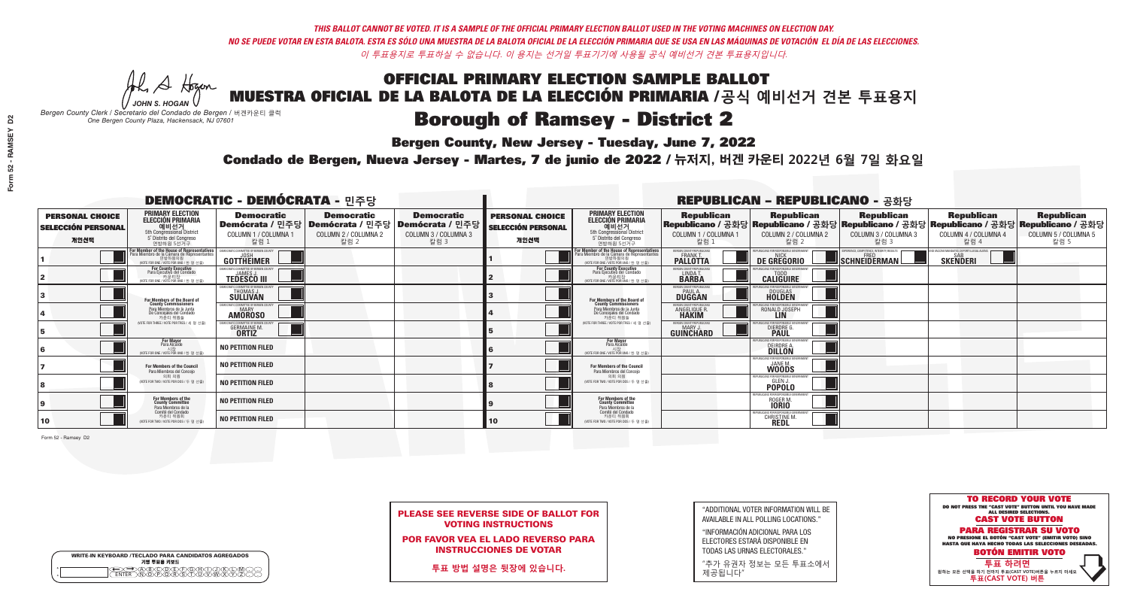## **Bergen County, New Jersey - Tuesday, June 7, 2022**

A Hogen *JOHN S. HOGAN*

| <b>WRITE-IN KEYBOARD /TECLADO PARA CANDIDATOS AGREGADOS</b><br>기명 투표용 키보드 |  |
|---------------------------------------------------------------------------|--|
| @@@@@@@@@QQ<br>\M@@@@&\$\DQ\W\X<br><b>FNTFR</b>                           |  |

*Bergen County Clerk / Secretario del Condado de Bergen /* 버겐카운티 클럭 *One Bergen County Plaza, Hackensack, NJ 07601*

### Condado de Bergen, Nueva Jersey - Martes, 7 de junio de 2022 / 뉴저지, 버겐 카운티 2022년 6월 7일 화요일 *One Bergen County Plaza, Hackensack, NJ 07601*



| <b>PLEASE SEE REVERSE SIDE OF BALLOT FOR</b> |
|----------------------------------------------|
| <b>VOTING INSTRUCTIONS</b>                   |

POR FAVOR VEA EL LADO REVERSO PARA INSTRUCCIONES DE VOTAR

**투표 방법 설명은 뒷장에 있습니다.**

| "ADDITIONAL VOTER INFORMATION WILL BE |
|---------------------------------------|
| AVAILABLE IN ALL POLLING LOCATIONS."  |

"INFORMACIÓN ADICIONAL PARA LOS ELECTORES ESTARÁ DISPONIBLE EN TODAS LAS URNAS ELECTORALES."

"추가 유권자 정보는 모든 투표소에서 제공됩니다"

| <b>DEMOCRATIC - DEMÓCRATA - 민주당</b>                         |                                                                                                                                                             |                                                                              |                                                   |                                                                                           |                                                             |                                                                                                                                                 |                                                            | <b>REPUBLICAN - REPUBLICANO - 공화당</b>                             |                                                                                                                                                  |                                                             |                                                   |
|-------------------------------------------------------------|-------------------------------------------------------------------------------------------------------------------------------------------------------------|------------------------------------------------------------------------------|---------------------------------------------------|-------------------------------------------------------------------------------------------|-------------------------------------------------------------|-------------------------------------------------------------------------------------------------------------------------------------------------|------------------------------------------------------------|-------------------------------------------------------------------|--------------------------------------------------------------------------------------------------------------------------------------------------|-------------------------------------------------------------|---------------------------------------------------|
| <b>PERSONAL CHOICE</b><br><b>SELECCIÓN PERSONAL</b><br>개인선택 | <b>PRIMARY ELECTION</b><br><b>ELECCIÓN PRIMARIA</b><br>예비선거<br><sup>5th</sup> Congressional District<br>5° Distrito del Congreso<br>연방하원 5선거구               | <b>Democratic</b><br>Demócrata / 민주당<br>COLUMN 1 / COLUMNA 1<br>칼럼 1         | <b>Democratic</b><br>COLUMN 2 / COLUMNA 2<br>칼럼 2 | <b>Democratic</b><br> Demócrata / 민주당   Demócrata / 민주당  <br>COLUMN 3 / COLUMNA 3<br>칼럼 3 | <b>PERSONAL CHOICE</b><br><b>SELECCIÓN PERSONAL</b><br>개인선택 | <b>PRIMARY ELECTION</b><br>ELECCIÓN PRIMARIA<br>예비선거<br>5th Congressional District<br>5 <sup>*</sup> Distrite del Congreso<br>연방하원 5선거구         | <b>Republican</b><br>COLUMN 1 / COLUMNA 1<br>칼럼 :          | <b>Republican</b><br>COLUMN 2 / COLUMNA 2<br>칼럼 2                 | <b>Republican</b><br>│Republicano / 공화당│Republicano / 공화당│Republicano / 공화당│Republicano / 공화당│Republicano / 공화당│<br>COLUMN 3 / COLUMNA 3<br>칼럼 3 | <b>Republican</b><br>COLUMN 4 / COLUMNA 4<br>칼럼 4           | <b>Republican</b><br>COLUMN 5 / COLUMNA 5<br>칼럼 5 |
|                                                             | F <mark>or Member of the House of Representatives</mark><br>Para Miembro de la Cámara de Representantes<br>연방하원의원<br>(VOTE FOR ONE / VOTE POR UNO / 한 명 선출) | <b>GOTTHEIMER</b>                                                            |                                                   |                                                                                           |                                                             | F <mark>or Member of the House of Representatives</mark><br>Para Miembro de la Cámara de Representantes<br>NOTE FOR ONE / VOTE POR UNO / 한 명 선출 | ERGEN COUNTY REPUBLICANS<br><b>PALLOTTA</b>                | DE GREGORIO                                                       | PERIENCE, COMPETENCE, INTEGRITY, RESULTS<br>SCHNEIDERMAN                                                                                         | VACCINE MANDATES, DEPORT ILLEGAL ALIENS.<br><b>SKENDERI</b> |                                                   |
|                                                             | For County Executive<br>Para Ejecutivo del Condado<br>가운티장<br>(VOTE FOR ONE / VOTE POR UNO / 한 명 선출)                                                        | DEMOCRATIC COMMITTEE OF BERGEN COUNTY<br><b>TEDESCO III</b>                  |                                                   |                                                                                           |                                                             | For County Executive<br>Para Ejecutivo del Condado<br>. 카운티장<br>(VOTE FOR ONE / VOTE POR UNO / 한 명 선출)                                          | BERGEN COUNTY REPUBLICAN<br>LINDA T.                       | <b>CALIGUIRE</b>                                                  |                                                                                                                                                  |                                                             |                                                   |
|                                                             | For Members of the Board of<br>County Commissioners                                                                                                         | <b>IOCRATIC COMMITTEE OF BERGEN CO</b><br>THOMAS J.                          |                                                   |                                                                                           |                                                             | For Members of the Board of<br>County Commissioners                                                                                             | ERGEN COUNTY REPUBLICAN<br><b>PAUL A.</b><br><b>DUGGAN</b> | VS FOR RESPONSIRI E (<br><b>DOUGLAS</b><br><b>HOLDEN</b>          |                                                                                                                                                  |                                                             |                                                   |
|                                                             | Para Miembros de la Junta<br>De Concejales del Condado<br>카운티 위원들                                                                                           | <b>EMOCRATIC COMMITTEE OF BEBGEN COUNTY</b><br><b>MARY</b><br><b>AMOROSO</b> |                                                   |                                                                                           |                                                             | Para Miembros de la Junta<br>De Concejales del Condado<br>카우티 위원들                                                                               | <b>FRGEN COUNTY REPUBLICAN</b><br>ANGELIQUE R              | U ICANS ENR RESPONSIRI E GOVERNMEI<br>RONALD JOSEPH<br><b>LIN</b> |                                                                                                                                                  |                                                             |                                                   |
|                                                             | NOTE FOR THREE / VOTE POR TRES / 세 명 선출)                                                                                                                    | GERMAINE M.                                                                  |                                                   |                                                                                           |                                                             | (VOTE FOR THREE / VOTE POR TRES / 세 명 선출)                                                                                                       | ERGEN COUNTY REPUBLICANS<br>MARY J<br>GUINCHARD            | U ICANS FOR RESPONSIRI E G<br>DIERDRE G                           |                                                                                                                                                  |                                                             |                                                   |
|                                                             | <b>For Mayor</b><br>Para Alcalde<br>NOTE FOR ONE / VOTE POR UNO / 한 명 선출!                                                                                   | NO PETITION FILED                                                            |                                                   |                                                                                           |                                                             | <b>For Mayor</b><br>Para Alcalde<br>(VOTE FOR ONE / VOTE POR UNO / 한 명 선출                                                                       |                                                            | <b>FOR RESPONSIBLE</b><br><b>DEIRDRE A.</b><br><b>DILLON</b>      |                                                                                                                                                  |                                                             |                                                   |
|                                                             | For Members of the Council<br>Para Miembros del Conceio                                                                                                     | NO PETITION FILED                                                            |                                                   |                                                                                           |                                                             | For Members of the Council<br>Para Miembros del Concejo                                                                                         |                                                            | <b>WOODS</b>                                                      |                                                                                                                                                  |                                                             |                                                   |
|                                                             | 의회 의원<br>(VOTE FOR TWO / VOTE POR DOS / 두 명 선출)                                                                                                             | <b>NO PETITION FILED</b>                                                     |                                                   |                                                                                           |                                                             | 의회 의원<br>NOTE FOR TWO / VOTE POR DOS / 두 명 선출)                                                                                                  |                                                            | PUBLICANS FOR RESPONSIBLE<br><b>POPOLO</b>                        |                                                                                                                                                  |                                                             |                                                   |
|                                                             | For Members of the<br>County Committee<br>Para Miembros de la                                                                                               | <b>NO PETITION FILED</b>                                                     |                                                   |                                                                                           |                                                             | For Members of the<br>County Committee<br>Para Miembros de la                                                                                   |                                                            | ROGER <sub>M</sub><br><b>IORIO</b>                                |                                                                                                                                                  |                                                             |                                                   |
| $ 10\rangle$                                                | Comité del Condado<br>카운티 위원회<br>(VOTE FOR TWO / VOTE POR DOS / 두 명 선출)                                                                                     | <b>NO PETITION FILED</b>                                                     |                                                   |                                                                                           | 10                                                          | Comité del Condado<br>카운티 위원회<br>(VOTE FOR TWO / VOTE POR DOS / 두 명 선출)                                                                         |                                                            | PUBLICANS FOR RESPONSIBLE (<br>CHRISTINE M.                       |                                                                                                                                                  |                                                             |                                                   |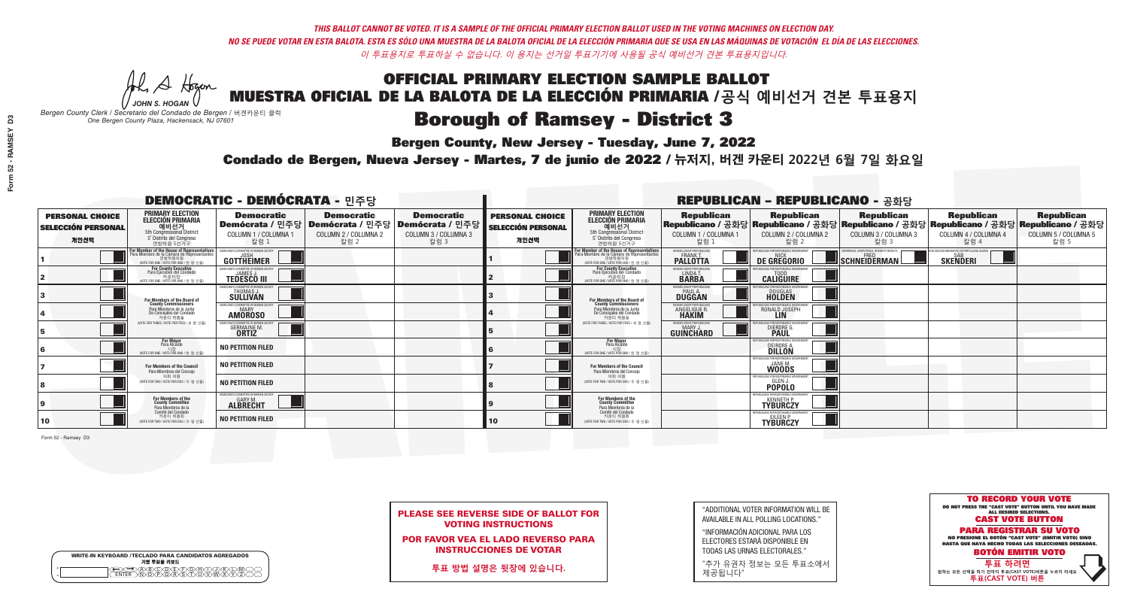## **Bergen County, New Jersey - Tuesday, June 7, 2022**

A Hogan *JOHN S. HOGAN*

| <b>WRITE-IN KEYBOARD /TECLADO PARA CANDIDATOS AGREGADOS</b><br>기명 투표용 키보드 |  |
|---------------------------------------------------------------------------|--|
| @@@@@@@@@@@@<br>\@@@@@@@@@@@@@@<br><b>FNTFR</b>                           |  |

*Bergen County Clerk / Secretario del Condado de Bergen /* 버겐카운티 클럭 *One Bergen County Plaza, Hackensack, NJ 07601*

### Condado de Bergen, Nueva Jersey - Martes, 7 de junio de 2022 / 뉴저지, 버겐 카운티 2022년 6월 7일 화요일 *One Bergen County Plaza, Hackensack, NJ 07601*



| <b>PLEASE SEE REVERSE SIDE OF BALLOT FOR</b> |  |
|----------------------------------------------|--|
| <b>VOTING INSTRUCTIONS</b>                   |  |

POR FAVOR VEA EL LADO REVERSO PARA INSTRUCCIONES DE VOTAR

**투표 방법 설명은 뒷장에 있습니다.**

| "ADDITIONAL VOTER INFORMATION WILL BE |
|---------------------------------------|
| AVAILABLE IN ALL POLLING LOCATIONS."  |

"INFORMACIÓN ADICIONAL PARA LOS ELECTORES ESTARÁ DISPONIBLE EN TODAS LAS URNAS ELECTORALES."

"추가 유권자 정보는 모든 투표소에서 제공됩니다"

|                                                             |                                                                                                                                               | <b>DEMOCRATIC - DEMÓCRATA - 민주당</b>                            |                                                                                                       |                                                   |                                                             |                                                                                                                                                      |                                                            | <b>REPUBLICAN - REPUBLICANO - 공화당</b>                     |                                                                                                                                                 |                                                                       |                                                   |
|-------------------------------------------------------------|-----------------------------------------------------------------------------------------------------------------------------------------------|----------------------------------------------------------------|-------------------------------------------------------------------------------------------------------|---------------------------------------------------|-------------------------------------------------------------|------------------------------------------------------------------------------------------------------------------------------------------------------|------------------------------------------------------------|-----------------------------------------------------------|-------------------------------------------------------------------------------------------------------------------------------------------------|-----------------------------------------------------------------------|---------------------------------------------------|
| <b>PERSONAL CHOICE</b><br><b>SELECCIÓN PERSONAL</b><br>개인선택 | <b>PRIMARY ELECTION</b><br><b>ELECCIÓN PRIMARIA</b><br>예비선거<br><sup>5th</sup> Congressional District<br>5° Distrito del Congreso<br>연방하원 5선거구 | <b>Democratic</b><br>COLUMN 1 / COLUMNA 1<br>칼럼 1              | <b>Democratic</b><br>│Demócrata / 민주당│Demócrata / 민주당│Demócrata / 민주당<br>COLUMN 2 / COLUMNA 2<br>칼럼 2 | <b>Democratic</b><br>COLUMN 3 / COLUMNA 3<br>칼럼 3 | <b>PERSONAL CHOICE</b><br><b>SELECCIÓN PERSONAL</b><br>개인선택 | <b>PRIMARY ELECTION</b><br>ELECCIÓN PRIMARIA<br>5th Congressional District<br>5° Distrito del Congreso<br>연방하원 5선거구                                  | <b>Republican</b><br>COLUMN 1 / COLUMNA 1<br>칼럼            | <b>Republican</b><br>COLUMN 2 / COLUMNA 2<br>칼럼 2         | <b>Republican</b><br>│Republicano / 공화당│Republicano / 공화당│Republicano / 공화당│Republicano / 공화당│Republicano / 공화당<br>COLUMN 3 / COLUMNA 3<br>칼럼 3 | <b>Republican</b><br>COLUMN 4 / COLUMNA 4<br>칼럼 4                     | <b>Republican</b><br>COLUMN 5 / COLUMNA 5<br>칼럼 5 |
|                                                             | For Member of the House of Representatives<br>Para Miembro de la Cámara de Representantes<br>연방하원의원<br>(VOTE FOR ONE / VOTE POR UNO / 한 명 선출) | COMMITTEE OF BERGEN COUNTY<br>GOTTHEIMER                       |                                                                                                       |                                                   |                                                             | <b>For Member of the House of Representatives<br/>Para Miembro de la Cámara de Representantes</b><br>계방하워의워<br>(VOTE FOR ONE / VOTE POR UNO / 한 명 선출 | ERGEN COUNTY REPUBLICANS<br><b>PALLOTTA</b>                | DE GREGORIO                                               | XPERIENCE, COMPETENCE, INTEGRITY, RESULTS<br>SCHNEIDERMAN                                                                                       | <b>ND VACCINE MANDATES, DEPORT ILLEGAL ALIENS.</b><br><b>SKENDERI</b> |                                                   |
|                                                             | <b>For County Executive</b><br>Para Ejecutivo del Condado<br>(VOTE FOR ONE / VOTE POR UNO / 한 명 선출)                                           | EMOCRATIC COMMITTEE OF BERGEN COUNTY<br><b>TEDESCO III</b>     |                                                                                                       |                                                   |                                                             | For County Executive<br>Para Ejecutivo del Condado<br>(VOTE FOR ONE / VOTE POR UNO / 한 명 선출                                                          | BERGEN COUNTY REPUBLICAN<br>LINDA T.                       | <b>CALIGUIRE</b>                                          |                                                                                                                                                 |                                                                       |                                                   |
|                                                             | For Members of the Board of<br>County Commissioners                                                                                           | <b>EMOCRATIC COMMITTEE OF BERGEN COUNT</b><br>THOMAS J.        |                                                                                                       |                                                   |                                                             | For Members of the Board of<br>County Commissioners                                                                                                  | ERGEN COUNTY REPUBLICAN<br><b>PAUL A.</b><br><b>DUGGAN</b> | <b>DOUGLAS</b><br><b>HOLDEN</b>                           |                                                                                                                                                 |                                                                       |                                                   |
|                                                             | Para Miembros de la Junta<br>De Concejales del Condado<br>카우티 위원들                                                                             | AOCRATIC COMMITTEE OF BERGEN COUNT<br><b>AMOROSO</b>           |                                                                                                       |                                                   |                                                             | Para Miembros de la Junta<br>De Concejales del Condado<br>카운티 위원들                                                                                    | ERGEN COUNTY REPUBLICAN<br>ANGELIQUE R                     | RONALD JOSEPH<br><b>LIN</b>                               |                                                                                                                                                 |                                                                       |                                                   |
|                                                             | NOTE FOR THREE / VOTE POR TRES / 세 명 선출)                                                                                                      | <b>GERMAINE M.</b><br><b>ORTIZ</b>                             |                                                                                                       |                                                   |                                                             | (VOTE FOR THREE / VOTE POR TRES / 세 명 선출)                                                                                                            | <b>ERGEN COUNTY REPUBLICAN</b><br>GUINCHARD                | <b>DIERDRE</b>                                            |                                                                                                                                                 |                                                                       |                                                   |
|                                                             | For Mayor<br>Para Alcalde<br>NOTE FOR ONE / VOTE POR UNO / 한 명 선                                                                              | NO PETITION FILED                                              |                                                                                                       |                                                   |                                                             | <b>For Mayor</b><br>Para Alcalde<br>NOTE FOR ONE / VOTE POR UNO / 한 명 선출)                                                                            |                                                            | S FOR RESPONSIBI F<br>DEIRDRE A.                          |                                                                                                                                                 |                                                                       |                                                   |
|                                                             | For Members of the Council<br>Para Miembros del Concejo                                                                                       | <b>NO PETITION FILED</b>                                       |                                                                                                       |                                                   |                                                             | <b>For Members of the Council</b><br>Para Miembros del Concejo                                                                                       |                                                            | PUBLICANS FOR RESPONSIBLE GO<br><b>WOODS</b>              |                                                                                                                                                 |                                                                       |                                                   |
|                                                             | 의회 의원<br>(VOTE FOR TWO / VOTE POR DOS / 두 명 선출)                                                                                               | <b>NO PETITION FILED</b>                                       |                                                                                                       |                                                   |                                                             | 이히 이워<br>(VOTE FOR TWO / VOTE POR DOS / 두 명 선출)                                                                                                      |                                                            | PUBLICANS FOR RESPONSIBLE<br><b>POPOLO</b>                |                                                                                                                                                 |                                                                       |                                                   |
|                                                             | For Members of the<br>County Committee<br>Para Miembros de la                                                                                 | <i>A</i> OCRATIC COMMITTEE OF BERGEN COUNTY<br><b>ALBRECHT</b> |                                                                                                       |                                                   |                                                             | For Members of the<br>County Committee<br>Para Miembros de la<br>Comité del Condado                                                                  |                                                            | UBLICANS FOR RESPONSIBLE GOVERNI<br><b>TYBURCZY</b>       |                                                                                                                                                 |                                                                       |                                                   |
| 10                                                          | Comité del Condado<br>카운티 위원회<br>(VOTE FOR TWO / VOTE POR DOS / 두 명 선출)                                                                       | <b>NO PETITION FILED</b>                                       |                                                                                                       |                                                   | 10                                                          | 카운티 위원회<br>(VOTE FOR TWO / VOTE POR DOS / 두 명 선출)                                                                                                    |                                                            | PLIRI ICANS FOR RESPONSIRI E GOVERNMEN<br><b>TYBURCZY</b> |                                                                                                                                                 |                                                                       |                                                   |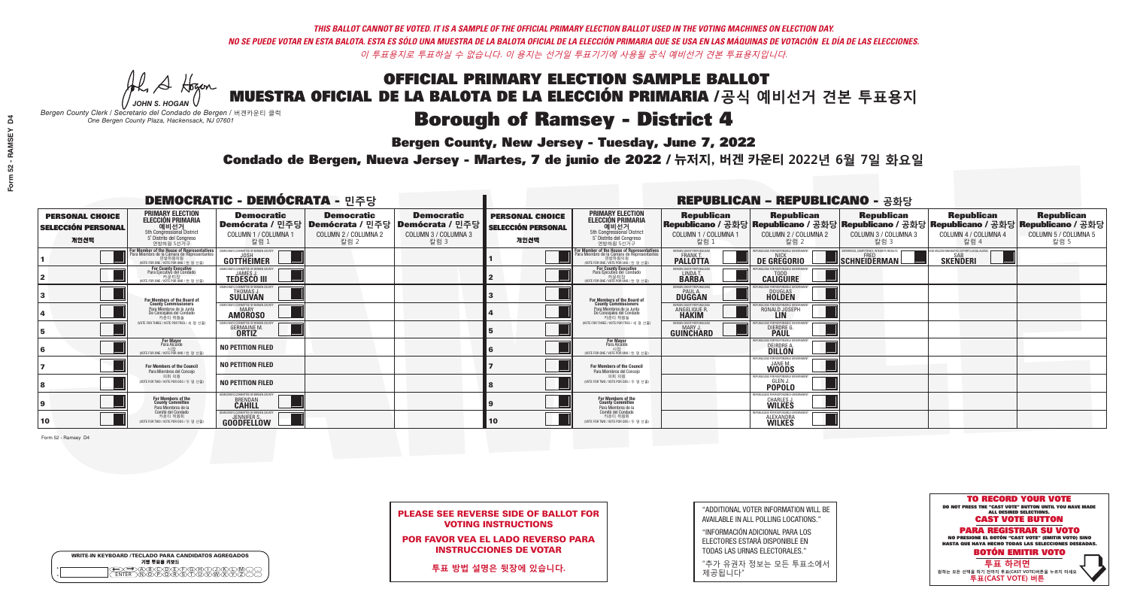# **Bergen County, New Jersey - Tuesday, June 7, 2022**

A Hogen *JOHN S. HOGAN*

| <b>WRITE-IN KEYBOARD /TECLADO PARA CANDIDATOS AGREGADOS</b><br>기명 투표용 키보드 |  |
|---------------------------------------------------------------------------|--|
| ARCONFLEYAR<br>$\sqrt{R}$ $\sqrt{S}$ $\sqrt{T}$                           |  |

*Bergen County Clerk / Secretario del Condado de Bergen /* 버겐카운티 클럭 *One Bergen County Plaza, Hackensack, NJ 07601*



PLEASE SEE REVERSE SIDE OF BALLOT FOR VOTING INSTRUCTIONS

POR FAVOR VEA EL LADO REVERSO PARA INSTRUCCIONES DE VOTAR

**투표 방법 설명은 뒷장에 있습니다.**

| "ADDITIONAL VOTER INFORMATION WILL BE |
|---------------------------------------|
| AVAILABLE IN ALL POLLING LOCATIONS."  |

"INFORMACIÓN ADICIONAL PARA LOS ELECTORES ESTARÁ DISPONIBLE EN TODAS LAS URNAS ELECTORALES."

"추가 유권자 정보는 모든 투표소에서 제공됩니다"

Condado de Bergen, Nueva Jersey - Martes, 7 de junio de 2022 / 뉴저지, 버겐 카운티 2022년 6월 7일 화요일 *One Bergen County Plaza, Hackensack, NJ 07601*

| <b>DEMOCRATIC - DEMÓCRATA - 민주당</b>                         |                                                                                                                                                     |                                                                                                        |                                                   |                                                   | <b>REPUBLICAN - REPUBLICANO - 공화당</b>                       |                                                                                                                                   |                                                            |                                                         |                                                                                                                                                |                                                                |                                                   |
|-------------------------------------------------------------|-----------------------------------------------------------------------------------------------------------------------------------------------------|--------------------------------------------------------------------------------------------------------|---------------------------------------------------|---------------------------------------------------|-------------------------------------------------------------|-----------------------------------------------------------------------------------------------------------------------------------|------------------------------------------------------------|---------------------------------------------------------|------------------------------------------------------------------------------------------------------------------------------------------------|----------------------------------------------------------------|---------------------------------------------------|
| <b>PERSONAL CHOICE</b><br><b>SELECCIÓN PERSONAL</b><br>개인선택 | <b>PRIMARY ELECTION</b><br><b>ELECCIÓN PRIMARIA</b><br>예비선거<br><sup>5th</sup> Congressional District<br>5° Distrito del Congreso<br>연방하원 5선거구       | <b>Democratic</b><br>│Demócrata / 민주당│Demócrata / 민주당│Demócrata / 민주당│<br>COLUMN 1 / COLUMNA 1<br>칼럼 1 | <b>Democratic</b><br>COLUMN 2 / COLUMNA 2<br>칼럼 2 | <b>Democratic</b><br>COLUMN 3 / COLUMNA 3<br>칼럼 3 | <b>PERSONAL CHOICE</b><br><b>SELECCIÓN PERSONAL</b><br>개인선택 | <b>PRIMARY ELECTION</b><br>ELECCIÓN PRIMARIA<br>5th Congressional District<br>5° Distrito del Congreso<br>연방하원 5선거구               | <b>Republican</b><br>COLUMN 1 / COLUMNA 1<br>칼럼 :          | <b>Republican</b><br>COLUMN 2 / COLUMNA 2<br>칼럼 2       | <b>Republican</b><br>Republicano / 공화당 Republicano / 공화당 Republicano / 공화당 Republicano / 공화당 Republicano / 공화당<br>COLUMN 3 / COLUMNA 3<br>칼럼 3 | <b>Republican</b><br>COLUMN 4 / COLUMNA 4<br>칼럼 4              | <b>Republican</b><br>COLUMN 5 / COLUMNA 5<br>칼럼 5 |
|                                                             | F <b>or Member of the House of Representatives</b><br>Para Miembro de la Cámara de Representantes<br>연방하원의원<br>WOTE FOR ONE / VOTE POR UNO / 한 명 선출 | DEMOCRATIC COMMITTEE OF BERGEN COUNTY<br><b>GOTTHEIMER</b>                                             |                                                   |                                                   |                                                             | For Member of the House of Representatives<br>Para Miembro de la Cámara de Representantes<br>WOTE FOR ONE / VOTE POR UNO / 한 명 선출 | BERGEN COUNTY REPUBLICANS<br><b>PALLOTTA</b>               | DE GREGORIO                                             | KPERIENCE, COMPETENCE, INTEGRITY, RESULTS<br>SCHNEIDERMAN                                                                                      | ND VACCINE MANDATES, DEPORT ILLEGAL ALIENS.<br><b>SKENDERI</b> |                                                   |
|                                                             | <b>For County Executive</b><br>Para Ejecutivo del Condado<br>가운티장<br>(VOTE FOR ONE / VOTE POR UNO / 한 명 선출)                                         | <b>EMOCRATIC COMMITTEE OF BERGEN COUNTY</b><br><b>TEDESCO III</b>                                      |                                                   |                                                   |                                                             | For County Executive<br>Para Ejecutivo del Condado<br>WOTE FOR ONE / VOTE POR UNO / 한 명 선출                                        | BERGEN COUNTY REPUBLICAN<br>LINDA T.                       | <b>CALIGUIRE</b>                                        |                                                                                                                                                |                                                                |                                                   |
|                                                             | For Members of the Board of<br>County Commissioners                                                                                                 | <b>EMOCRATIC COMMITTEE OF BERGEN COUNT</b><br>THOMAS J.                                                |                                                   |                                                   |                                                             | For Members of the Board of<br>County Commissioners                                                                               | ERGEN COUNTY REPUBLICAN<br><b>PAUL A.</b><br><b>DUGGAN</b> | <b>DOUGLAS</b><br><b>HOLDEN</b>                         |                                                                                                                                                |                                                                |                                                   |
|                                                             | Para Miembros de la Junta<br>De Concejales del Condado<br>카우티 위원들                                                                                   | <b>IOCRATIC COMMITTEE OF BEBGEN COUNT</b><br><b>AMOROSO</b>                                            |                                                   |                                                   |                                                             | Para Miembros de la Junta<br>De Concejales del Condado<br>카운티 위원들                                                                 | ERGEN COUNTY REPUBLICAN<br>ANGELIQUE R                     | RONALD JOSEPH<br><b>LIN</b>                             |                                                                                                                                                |                                                                |                                                   |
|                                                             | NOTE FOR THREE / VOTE POR TRES / 세 명 선출)                                                                                                            | <b>GERMAINE M.</b><br><b>ORTIZ</b>                                                                     |                                                   |                                                   |                                                             | NOTE FOR THREE / VOTE POR TRES / 세 명 선출)                                                                                          | ERGEN COUNTY REPUBLICAN<br><b>GUINCHARD</b>                | DIERDRE O                                               |                                                                                                                                                |                                                                |                                                   |
|                                                             | For Mayor<br>Para Alcalde<br>NOTE FOR ONE / VOTE POR UNO / 한 명 선                                                                                    | <b>NO PETITION FILED</b>                                                                               |                                                   |                                                   |                                                             | <b>For Mayor</b><br>Para Alcalde<br>NOTE FOR ONE / VOTE POR UNO / 한 명 선출                                                          |                                                            | S ENR RESPANSIRI E<br>DEIRDRE A.                        |                                                                                                                                                |                                                                |                                                   |
|                                                             | For Members of the Council<br>Para Miembros del Concejo                                                                                             | <b>NO PETITION FILED</b>                                                                               |                                                   |                                                   |                                                             | <b>For Members of the Council</b><br>Para Miembros del Concejo                                                                    |                                                            | PUBLICANS FOR RESPONSIBLE GO<br><b>WOODS</b>            |                                                                                                                                                |                                                                |                                                   |
|                                                             | 의회 의원<br>(VOTE FOR TWO / VOTE POR DOS / 두 명 선출)                                                                                                     | <b>NO PETITION FILED</b>                                                                               |                                                   |                                                   |                                                             | 의회 의원<br>WOTE FOR TWO / VOTE POR DOS / 두 명 선출)                                                                                    |                                                            | PUBLICANS FOR RESPONSIBLE<br><b>POPOLO</b>              |                                                                                                                                                |                                                                |                                                   |
|                                                             | For Members of the<br>County Committee<br>Para Miembros de la                                                                                       | 10CRATIC COMMITTEE OF BERGEN COUNTY<br><b>BRENDAN</b>                                                  |                                                   |                                                   |                                                             | For Members of the<br>County Committee<br>Para Miembros de la<br>Comité del Condado                                               |                                                            | CHARLES J.                                              |                                                                                                                                                |                                                                |                                                   |
| 10                                                          | Comité del Condado<br>카운티 위원회<br>(VOTE FOR TWO / VOTE POR DOS / 두 명 선출)                                                                             | JEMOCRATIC COMMITTEE OF BERGEN COUNTY<br><b>GOODFELLOW</b>                                             |                                                   |                                                   | 10                                                          | 카운티 위원회<br>(VOTE FOR TWO / VOTE POR DOS / 두 명 선출)                                                                                 |                                                            | PUBLICANS FOR RESPONSIBLE GOVERNMEN<br><b>ALEXANDRA</b> |                                                                                                                                                |                                                                |                                                   |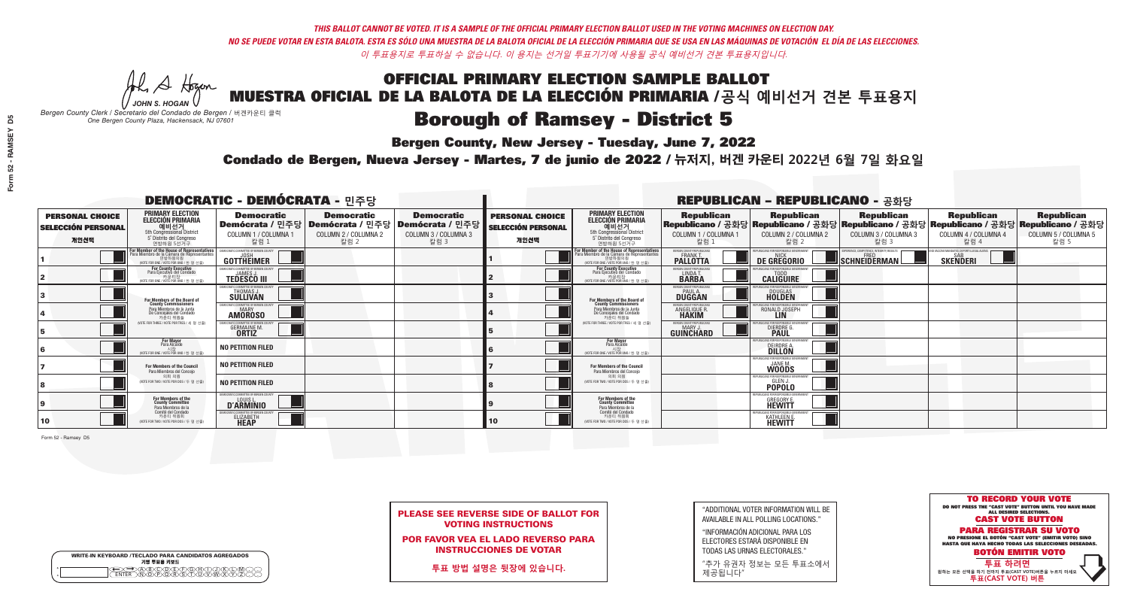**Bergen County, New Jersey - Tuesday, June 7, 2022** 

A Hogan *JOHN S. HOGAN*

| <b>WRITE-IN KEYBOARD /TECLADO PARA CANDIDATOS AGREGADOS</b><br>기명 투표용 키보드 |  |
|---------------------------------------------------------------------------|--|
| A®©®®©©®®©©®<br>™™™®®®®©™™™®                                              |  |

*Bergen County Clerk / Secretario del Condado de Bergen /* 버겐카운티 클럭 *One Bergen County Plaza, Hackensack, NJ 07601*



PLEASE SEE REVERSE SIDE OF BALLOT FOR VOTING INSTRUCTIONS

POR FAVOR VEA EL LADO REVERSO PARA INSTRUCCIONES DE VOTAR

**투표 방법 설명은 뒷장에 있습니다.**

| "ADDITIONAL VOTER INFORMATION WILL BE |
|---------------------------------------|
| AVAILABLE IN ALL POLLING LOCATIONS."  |

"INFORMACIÓN ADICIONAL PARA LOS ELECTORES ESTARÁ DISPONIBLE EN TODAS LAS URNAS ELECTORALES."

"추가 유권자 정보는 모든 투표소에서 제공됩니다"

Condado de Bergen, Nueva Jersey - Martes, 7 de junio de 2022 / 뉴저지, 버겐 카운티 2022년 6월 7일 화요일 *One Bergen County Plaza, Hackensack, NJ 07601*

| <b>DEMOCRATIC - DEMÓCRATA - 민주당</b>                         |                                                                                                                                               |                                                                                       |                                                   |                                                                         | <b>REPUBLICAN - REPUBLICANO - 공화당</b>                       |                                                                                                                                               |                                                                     |                                                                                                                                                |                                                                                                |                                                          |                                                   |
|-------------------------------------------------------------|-----------------------------------------------------------------------------------------------------------------------------------------------|---------------------------------------------------------------------------------------|---------------------------------------------------|-------------------------------------------------------------------------|-------------------------------------------------------------|-----------------------------------------------------------------------------------------------------------------------------------------------|---------------------------------------------------------------------|------------------------------------------------------------------------------------------------------------------------------------------------|------------------------------------------------------------------------------------------------|----------------------------------------------------------|---------------------------------------------------|
| <b>PERSONAL CHOICE</b><br><b>SELECCIÓN PERSONAL</b><br>개인선택 | <b>PRIMARY ELECTION</b><br><b>ELECCIÓN PRIMARIA</b><br>예비선거<br><sup>5th</sup> Congressional District<br>5° Distrito del Congreso<br>연방하원 5선거구 | <b>Democratic</b><br>│Demócrata / 민주당│Demócrata / 민주당<br>COLUMN 1 / COLUMNA 1<br>칼럼 1 | <b>Democratic</b><br>COLUMN 2 / COLUMNA 2<br>칼럼 2 | <b>Democratic</b><br>ː│Demócrata / 민주당│<br>COLUMN 3 / COLUMNA 3<br>칼럼 3 | <b>PERSONAL CHOICE</b><br><b>SELECCIÓN PERSONAL</b><br>개인선택 | <b>PRIMARY ELECTION</b><br>ELECCIÓN PRIMARIA<br>5th Congressional District<br>5° Distrito del Congreso<br>연방하원 5선거구                           | <b>Republican</b><br>COLUMN 1 / COLUMNA 1<br>칼럼 :                   | <b>Republican</b><br>Republicano / 공화당 Republicano / 공화당 Republicano / 공화당 Republicano / 공화당 Republicano / 공화당<br>COLUMN 2 / COLUMNA 2<br>칼럼 2 | <b>Republican</b><br>COLUMN 3 / COLUMNA 3<br>칼럼 3                                              | <b>Republican</b><br>COLUMN 4 / COLUMNA 4<br>칼럼 4        | <b>Republican</b><br>COLUMN 5 / COLUMNA 5<br>칼럼 5 |
|                                                             | For Member of the House of Representatives<br>Para Miembro de la Cámara de Representantes<br>연방하원의원<br>WOTE FOR ONE / VOTE POR UNO / 한 명 선출   | DEMOCRATIC COMMITTEE OF BERGEN COUNTY<br>GOTTHEIMER                                   |                                                   |                                                                         |                                                             | For Member of the House of Representatives<br>Para Miembro de la Cámara de Representantes<br>연방하원의원<br>(VOTE FOR ONE / VOTE POR UNO / 한 명 선출) | BERGEN COUNTY REPUBLICANS<br><b>PALLOTTA</b>                        | DE GREGORIO                                                                                                                                    | XPERIENCE, COMPETENCE, INTEGRITY, RESULTS<br>$\blacksquare$ schneiderman $\mathbin{\llcorner}$ | ) VACCINE MANDATES, DEPORT ILLEGAL ALIENS. F<br>SKEÑDERI |                                                   |
|                                                             | For County Executive<br>Para Ejecutivo del Condado<br>가운티장<br>(VOTE FOR ONE / VOTE POR UNO / 한 명 선출)                                          | EMOCRATIC COMMITTEE OF BERGEN COUNTY<br><b>TEDESCO III</b>                            |                                                   |                                                                         |                                                             | For County Executive<br>Para Ejecutivo del Condado<br>.<br>7) 카운티장<br>VOTE FOR ONE / VOTE POR UNO / 한 명 선출                                    | BERGEN COUNTY REPUBLICAN!<br>LINDA T.                               | <b>CALIGUIRE</b>                                                                                                                               |                                                                                                |                                                          |                                                   |
|                                                             | <b>For Members of the Board of<br/>County Commissioners</b>                                                                                   | EMOCRATIC COMMITTEE OF BERGEN COUN<br>THOMAS J.                                       |                                                   |                                                                         |                                                             | For Members of the Board of<br>County Commissioners                                                                                           | ERGEN COUNTY REPUBLICAN<br><b>PAUL A.</b><br><b>DUGGAN</b>          | <b>DOUGLAS</b>                                                                                                                                 |                                                                                                |                                                          |                                                   |
|                                                             | Para Miembros de la Junta<br>De Concejales del Condado<br>카우티 위원들                                                                             | MOCRATIC COMMITTEE OF BEBGEN COUNTY<br><b>MARY</b><br><b>AMOROSO</b>                  |                                                   |                                                                         |                                                             | Para Miembros de la Junta<br>De Concejales del Condado<br>카운티 위원들                                                                             | <b>RGEN COUNTY REPUBLICAL</b><br><b>ANGELIQUE R</b><br><b>HAKIM</b> | RONALD JOSEPH<br><b>LIN</b>                                                                                                                    |                                                                                                |                                                          |                                                   |
|                                                             | NOTE FOR THREE / VOTE POR TRES / 세 명 선출)                                                                                                      | OCRATIC COMMITTEE OF BERGEN C<br><b>GERMAINE M.</b><br><b>ORTIZ</b>                   |                                                   |                                                                         |                                                             | NOTE FOR THREE / VOTE POR TRES / 세 명 선출!                                                                                                      | ERGEN COUNTY REPUBLICAN:<br>GUINCHARD                               | CANS FOR RESPONSIBLI<br>DIERDRE <sup>C</sup>                                                                                                   |                                                                                                |                                                          |                                                   |
|                                                             | For Mayor<br>Para Alcalde<br>시장<br>시장<br>(VOTE FOR ONE / VOTE POR UNO / 한 명 선출)                                                               | <b>NO PETITION FILED</b>                                                              |                                                   |                                                                         |                                                             | <b>For Mayor</b><br>Para Alcalde                                                                                                              |                                                                     | DEIRDRE A.                                                                                                                                     |                                                                                                |                                                          |                                                   |
|                                                             | <b>For Members of the Council</b><br>Para Miembros del Concejo                                                                                | <b>NO PETITION FILED</b>                                                              |                                                   |                                                                         |                                                             | <b>For Members of the Council</b><br>Para Miembros del Conceio                                                                                |                                                                     | <b>EPUBLICANS FOR RESPONSIBLE</b><br><b>WOODS</b>                                                                                              |                                                                                                |                                                          |                                                   |
|                                                             | 의회 의원<br>(VOTE FOR TWO / VOTE POR DOS / 두 명 선출)                                                                                               | <b>NO PETITION FILED</b>                                                              |                                                   |                                                                         |                                                             | 의회 의원<br>(VOTE FOR TWO / VOTE POR DOS / 두 명 선출)                                                                                               |                                                                     | REPUBLICANS FOR RESPONSIBLI<br><b>POPOLO</b>                                                                                                   |                                                                                                |                                                          |                                                   |
|                                                             | For Members of the<br>County Committee<br>Para Miembros de la                                                                                 | EMOCRATIC COMMITTEE OF BERGEN COUNTY<br><b>D'ARMINIO</b>                              |                                                   |                                                                         |                                                             | For Members of the<br>County Committee<br>Para Miembros de la<br>Comité del Condado                                                           |                                                                     | PUBLICANS FOR RESPONSIBLE (<br><b>GREGORY E.</b><br><b>HEWITT</b>                                                                              |                                                                                                |                                                          |                                                   |
| 10                                                          | Comité del Condado<br>카운티 위원회<br>(VOTE FOR TWO / VOTE POR DOS / 두 명 선출)                                                                       | EMOCRATIC COMMITTEE OF BERGEN COUNTY<br>ELIZABETH                                     |                                                   |                                                                         | 10                                                          | 카운티 위원회<br>(VOTE FOR TWO / VOTE POR DOS / 두 명 선출)                                                                                             |                                                                     | KATHLEEN E.                                                                                                                                    |                                                                                                |                                                          |                                                   |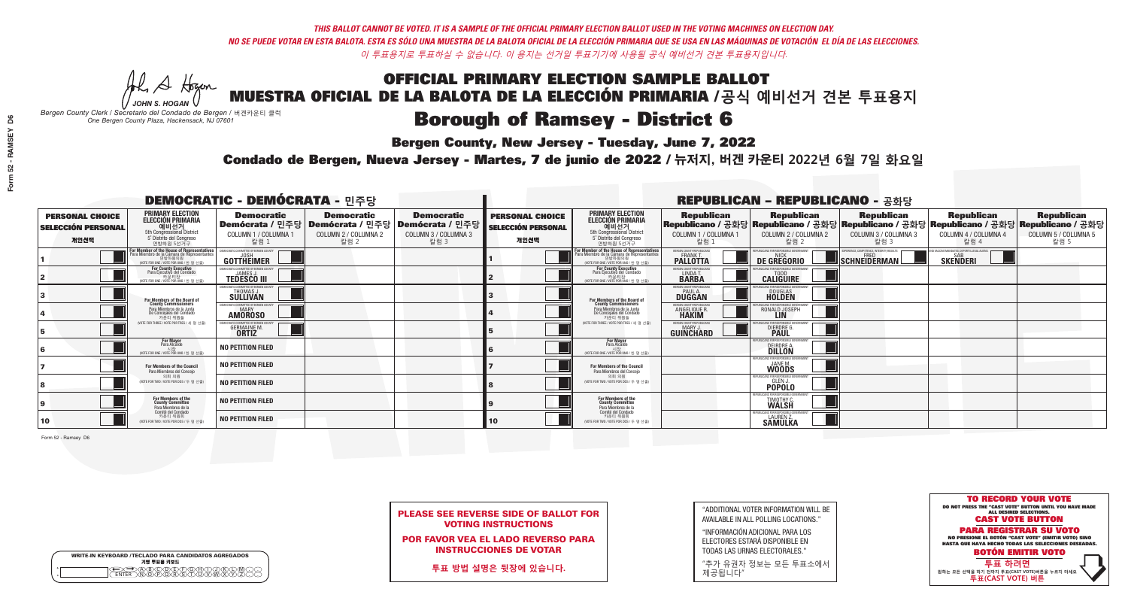## **Bergen County, New Jersey - Tuesday, June 7, 2022**

A Hogen *JOHN S. HOGAN*

| <b>WRITE-IN KEYBOARD /TECLADO PARA CANDIDATOS AGREGADOS</b><br>기명 투표용 키보드 |  |
|---------------------------------------------------------------------------|--|
| @@@@@@@@@QQ<br>\M@@@@&\$\DQ\W\X<br><b>FNTFR</b>                           |  |

*Bergen County Clerk / Secretario del Condado de Bergen /* 버겐카운티 클럭 *One Bergen County Plaza, Hackensack, NJ 07601*

### Condado de Bergen, Nueva Jersey - Martes, 7 de junio de 2022 / 뉴저지, 버겐 카운티 2022년 6월 7일 화요일 *One Bergen County Plaza, Hackensack, NJ 07601*



| <b>PLEASE SEE REVERSE SIDE OF BALLOT FOR</b> |
|----------------------------------------------|
| <b>VOTING INSTRUCTIONS</b>                   |

POR FAVOR VEA EL LADO REVERSO PARA INSTRUCCIONES DE VOTAR

**투표 방법 설명은 뒷장에 있습니다.**

| "ADDITIONAL VOTER INFORMATION WILL BE |
|---------------------------------------|
| AVAILABLE IN ALL POLLING LOCATIONS."  |

"INFORMACIÓN ADICIONAL PARA LOS ELECTORES ESTARÁ DISPONIBLE EN TODAS LAS URNAS ELECTORALES."

"추가 유권자 정보는 모든 투표소에서 제공됩니다"

| <b>DEMOCRATIC - DEMÓCRATA - 민주당</b>                         |                                                                                                                                               |                                                               |                                                                                                            |                                                   | <b>REPUBLICAN - REPUBLICANO - 공화당</b>                       |                                                                                                                                           |                                                               |                                                                |                                                                                                                                                |                                                             |                                                   |
|-------------------------------------------------------------|-----------------------------------------------------------------------------------------------------------------------------------------------|---------------------------------------------------------------|------------------------------------------------------------------------------------------------------------|---------------------------------------------------|-------------------------------------------------------------|-------------------------------------------------------------------------------------------------------------------------------------------|---------------------------------------------------------------|----------------------------------------------------------------|------------------------------------------------------------------------------------------------------------------------------------------------|-------------------------------------------------------------|---------------------------------------------------|
| <b>PERSONAL CHOICE</b><br><b>SELECCIÓN PERSONAL</b><br>개인선택 | <b>PRIMARY ELECTION</b><br><b>ELECCIÓN PRIMARIA</b><br>예비선거<br><sup>5th</sup> Congressional District<br>5° Distrito del Congreso<br>연방하원 5선거구 | <b>Democratic</b><br>COLUMN 1 / COLUMNA 1<br>칼럼 1             | <b>Democratic</b><br>Demócrata / 민주당   Demócrata / 민주당   Demócrata / 민주당  <br>COLUMN 2 / COLUMNA 2<br>칼럼 2 | <b>Democratic</b><br>COLUMN 3 / COLUMNA 3<br>칼럼 3 | <b>PERSONAL CHOICE</b><br><b>SELECCIÓN PERSONAL</b><br>개인선택 | <b>PRIMARY ELECTION</b><br><b>ELECCIÓN PRIMARIA</b><br>예비선거<br>5th Congressional District<br>5° Distrito del Congreso<br>연방하원 5선거구        | <b>Republican</b><br>COLUMN 1 / COLUMNA 1<br>칼럼 1             | <b>Republican</b><br>COLUMN 2 / COLUMNA 2<br>칼럼 2              | <b>Republican</b><br>Republicano / 공화당 Republicano / 공화당 Republicano / 공화당 Republicano / 공화당 Republicano / 공화당<br>COLUMN 3 / COLUMNA 3<br>칼럼 3 | <b>Republican</b><br>COLUMN 4 / COLUMNA 4<br>칼럼 4           | <b>Republican</b><br>COLUMN 5 / COLUMNA 5<br>칼럼 5 |
|                                                             | or Member of the House of Representatives<br>ara Miembro de la Cámara de Representantes<br>연방하원의원<br>(VOTE FOR ONE / VOTE POR UNO / 한 명 선출)   | <b>GOTTHEIMER</b>                                             |                                                                                                            |                                                   |                                                             | <b>For Member of the House of Representatives<br/>Para Miembro de la Cámara de Representantes</b><br>NOTE FOR ONE / VOTE POR UNO / 한 명 선출 | ERGEN COUNTY REPUBLICANS<br><b>PALLOTTA</b>                   | DE GREGORIO                                                    | SCHNEIDERMAN                                                                                                                                   | VACCINE MANDATES, DEPORT ILLEGAL ALIENS.<br><b>SKENDERI</b> |                                                   |
|                                                             | <b>For County Executive</b><br>Para Ejecutivo del Condado<br>카우티징<br>(VOTE FOR ONE / VOTE POR UNO / 한 명 선출)                                   | JEMOCRATIC COMMITTEE OF BERGEN COUNTY<br><b>TEDESCO III</b>   |                                                                                                            |                                                   |                                                             | For County Executive<br>Para Ejecutivo del Condado<br>. 기운티장<br>(VOTE FOR ONE / VOTE POR UNO / 한 명 선출)                                    | BERGEN COUNTY REPUBLICAN<br>LINDA T.                          | <b>CALIGUIRE</b>                                               |                                                                                                                                                |                                                             |                                                   |
|                                                             | For Members of the Board of<br>County Commissioners                                                                                           | MOCRATIC COMMITTEE OF BERGEN COUI<br>THOMAS J.                |                                                                                                            |                                                   |                                                             | For Members of the Board of<br>County Commissioners                                                                                       | BERGEN COUNTY REPUBLICAN<br><b>PAUL A.</b><br><b>DUGGAN</b>   | JS FNR RESPONSIRI E G<br><b>DOUGLAS</b><br><b>HOLDEN</b>       |                                                                                                                                                |                                                             |                                                   |
|                                                             | Para Miembros de la Junta<br>De Concejales del Condado<br>카운티 위원들                                                                             | <b>EMOCRATIC COMMITTEE OF BERGEN COUNTY</b><br><b>AMOROSO</b> |                                                                                                            |                                                   |                                                             | Para Miembros de la Junta<br>De Concejales del Condado<br>카우티 위원들                                                                         | ERGEN COUNTY REPUBLICAN<br><b>ANGELIQUE R</b><br><b>HAKIM</b> | ICANS FOR RESPONSIBLE GOVERNMEN<br>RONALD JOSEPH<br><b>LIN</b> |                                                                                                                                                |                                                             |                                                   |
|                                                             | (VOTE FOR THREE / VOTE POR TRES / 세 명 선출)                                                                                                     | RATIC COMMITTEE OF BERGEN COU<br><b>GERMAINE M.</b>           |                                                                                                            |                                                   |                                                             | (VOTE FOR THREE / VOTE POR TRES / 세 명 선출)                                                                                                 | ERGEN COUNTY REPUBLICANS<br>MARY J<br>GUINCHARD               | ICANS FOR RESPONSIBLE GO<br>DIERDRE G                          |                                                                                                                                                |                                                             |                                                   |
| 16                                                          | <b>For Mayor</b><br>Para Alcalde<br>WOTE FOR ONE / VOTE POR UNO / 한 명 선출)                                                                     | NO PETITION FILED                                             |                                                                                                            |                                                   |                                                             | <b>For Mayor</b><br>Para Alcalde<br>시장<br>(VOTE FOR ONE / VOTE POR UNO / 한 명 선출)                                                          |                                                               | S ENR RESPNNSIRI E G<br>DEIRDRE A.                             |                                                                                                                                                |                                                             |                                                   |
|                                                             | For Members of the Council<br>Para Miembros del Conceio                                                                                       | NO PETITION FILED                                             |                                                                                                            |                                                   |                                                             | For Members of the Council<br>Para Miembros del Concejo                                                                                   |                                                               | <b>WOODS</b>                                                   |                                                                                                                                                |                                                             |                                                   |
|                                                             | 의회 의원<br>(VOTE FOR TWO / VOTE POR DOS / 두 명 선출)                                                                                               | <b>NO PETITION FILED</b>                                      |                                                                                                            |                                                   |                                                             | 의회 의원<br>(VOTE FOR TWO / VOTE POR DOS / 두 명 선출)                                                                                           |                                                               | PUBLICANS FOR RESPONSIBLE <sup>:</sup><br><b>POPOLO</b>        |                                                                                                                                                |                                                             |                                                   |
| 9                                                           | For Members of the<br>County Committee<br>Para Miembros de la                                                                                 | <b>NO PETITION FILED</b>                                      |                                                                                                            |                                                   |                                                             | For Members of the<br>County Committee<br>Para Miembros de la                                                                             |                                                               | <b>TIMOTHY C</b><br><b>WALSH</b>                               |                                                                                                                                                |                                                             |                                                   |
| 10                                                          | Comité del Condado<br>카운티 위원회<br>(VOTE FOR TWO / VOTE POR DOS / 두 명 선출)                                                                       | <b>NO PETITION FILED</b>                                      |                                                                                                            |                                                   | 10 <sup>°</sup>                                             | Comité del Condado<br>카운티 위원회<br>(VOTE FOR TWO / VOTE POR DOS / 두 명 선출)                                                                   |                                                               | EPUBLICANS FOR RESPONSIBLE G<br><b>SAMULKA</b>                 |                                                                                                                                                |                                                             |                                                   |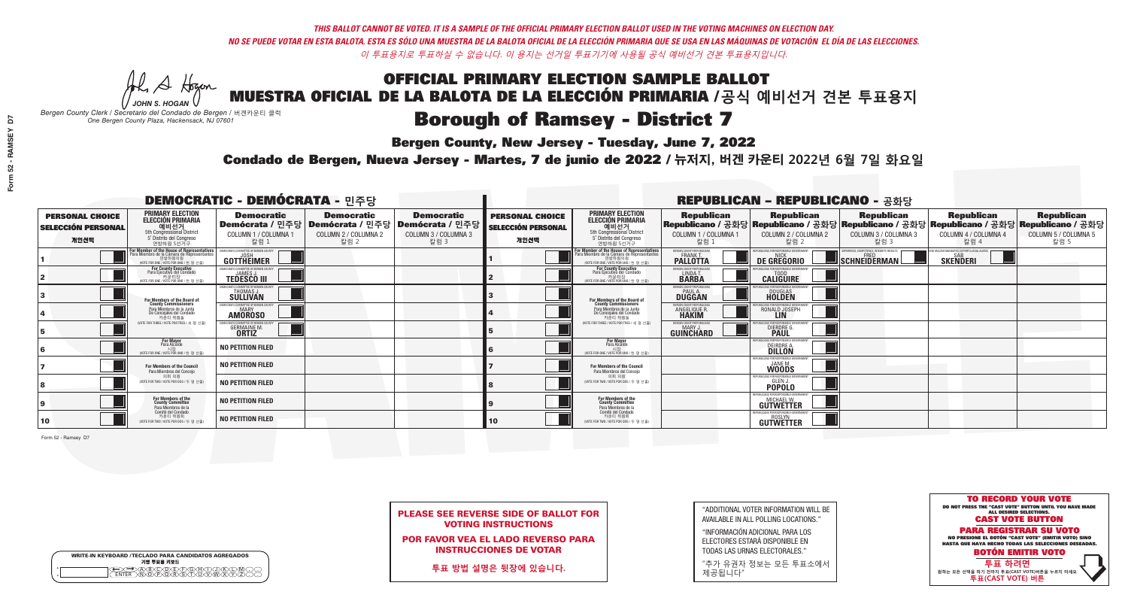## **Bergen County, New Jersey - Tuesday, June 7, 2022**

A Hogen *JOHN S. HOGAN*

| <b>WRITE-IN KEYBOARD /TECLADO PARA CANDIDATOS AGREGADOS</b><br>기명 투표용 키보드 |  |
|---------------------------------------------------------------------------|--|
| DA BOORDDOADDIND<br>DIN OPORSIDUUWXY<br><b>ENTER</b>                      |  |

*Bergen County Clerk / Secretario del Condado de Bergen /* 버겐카운티 클럭 *One Bergen County Plaza, Hackensack, NJ 07601*

### Condado de Bergen, Nueva Jersey - Martes, 7 de junio de 2022 / 뉴저지, 버겐 카운티 2022년 6월 7일 화요일 *One Bergen County Plaza, Hackensack, NJ 07601*



| <b>PLEASE SEE REVERSE SIDE OF BALLOT FOR</b> |
|----------------------------------------------|
| <b>VOTING INSTRUCTIONS</b>                   |

POR FAVOR VEA EL LADO REVERSO PARA INSTRUCCIONES DE VOTAR

**투표 방법 설명은 뒷장에 있습니다.**

| "ADDITIONAL VOTER INFORMATION WILL BE |
|---------------------------------------|
| AVAILABLE IN ALL POLLING LOCATIONS."  |

"INFORMACIÓN ADICIONAL PARA LOS ELECTORES ESTARÁ DISPONIBLE EN TODAS LAS URNAS ELECTORALES."

"추가 유권자 정보는 모든 투표소에서 제공됩니다"

| <b>DEMOCRATIC - DEMÓCRATA - 민주당</b>                         |                                                                                                                                               |                                                                                                        |                                                   |                                                   | <b>REPUBLICAN - REPUBLICANO - 공화당</b>                       |                                                                                                                                           |                                                               |                                                                |                                                                                                                                                |                                                             |                                                   |
|-------------------------------------------------------------|-----------------------------------------------------------------------------------------------------------------------------------------------|--------------------------------------------------------------------------------------------------------|---------------------------------------------------|---------------------------------------------------|-------------------------------------------------------------|-------------------------------------------------------------------------------------------------------------------------------------------|---------------------------------------------------------------|----------------------------------------------------------------|------------------------------------------------------------------------------------------------------------------------------------------------|-------------------------------------------------------------|---------------------------------------------------|
| <b>PERSONAL CHOICE</b><br><b>SELECCIÓN PERSONAL</b><br>개인선택 | <b>PRIMARY ELECTION</b><br><b>ELECCIÓN PRIMARIA</b><br>예비선거<br><sup>5th</sup> Congressional District<br>5° Distrito del Congreso<br>연방하원 5선거구 | <b>Democratic</b><br>│Demócrata / 민주당│Demócrata / 민주당│Demócrata / 민주당┃<br>COLUMN 1 / COLUMNA 1<br>칼럼 1 | <b>Democratic</b><br>COLUMN 2 / COLUMNA 2<br>칼럼 2 | <b>Democratic</b><br>COLUMN 3 / COLUMNA 3<br>칼럼 3 | <b>PERSONAL CHOICE</b><br><b>SELECCIÓN PERSONAL</b><br>개인선택 | <b>PRIMARY ELECTION</b><br><b>ELECCIÓN PRIMARIA</b><br>예비선거<br>5th Congressional District<br>5° Distrito del Congreso<br>연방하원 5선거구        | <b>Republican</b><br>COLUMN 1 / COLUMNA 1<br>칼럼 1             | <b>Republican</b><br>COLUMN 2 / COLUMNA 2<br>칼럼 2              | <b>Republican</b><br>Republicano / 공화당 Republicano / 공화당 Republicano / 공화당 Republicano / 공화당 Republicano / 공화당<br>COLUMN 3 / COLUMNA 3<br>칼럼 3 | <b>Republican</b><br>COLUMN 4 / COLUMNA 4<br>칼럼 4           | <b>Republican</b><br>COLUMN 5 / COLUMNA 5<br>칼럼 5 |
|                                                             | or Member of the House of Representatives<br>ara Miembro de la Cámara de Representantes<br>연방하원의원<br>(VOTE FOR ONE / VOTE POR UNO / 한 명 선출)   | <b>GOTTHEIMER</b>                                                                                      |                                                   |                                                   |                                                             | <b>For Member of the House of Representatives<br/>Para Miembro de la Cámara de Representantes</b><br>NOTE FOR ONE / VOTE POR UNO / 한 명 선출 | ERGEN COUNTY REPUBLICANS<br><b>PALLOTTA</b>                   | DE GREGORIO                                                    | SCHNEIDERMAN                                                                                                                                   | VACCINE MANDATES, DEPORT ILLEGAL ALIENS.<br><b>SKENDERI</b> |                                                   |
|                                                             | <b>For County Executive</b><br>Para Ejecutivo del Condado<br>카우티징<br>(VOTE FOR ONE / VOTE POR UNO / 한 명 선출)                                   | JEMOCRATIC COMMITTEE OF BERGEN COUNTY<br><b>TEDESCO III</b>                                            |                                                   |                                                   |                                                             | For County Executive<br>Para Ejecutivo del Condado<br>.<br>7 카운티장<br>(VOTE FOR ONE / VOTE POR UNO / 한 명 선출)                               | BERGEN COUNTY REPUBLICAN<br>LINDA T.                          | <b>CALIGUIRE</b>                                               |                                                                                                                                                |                                                             |                                                   |
|                                                             | For Members of the Board of<br>County Commissioners                                                                                           | MOCRATIC COMMITTEE OF BERGEN COUI<br>THOMAS J.                                                         |                                                   |                                                   |                                                             | For Members of the Board of<br>County Commissioners                                                                                       | BERGEN COUNTY REPUBLICAN<br><b>PAUL A.</b><br><b>DUGGAN</b>   | JS FNR RESPONSIRI E G<br><b>DOUGLAS</b><br><b>HOLDEN</b>       |                                                                                                                                                |                                                             |                                                   |
|                                                             | Para Miembros de la Junta<br>De Concejales del Condado<br>카운티 위원들                                                                             | <b>EMOCRATIC COMMITTEE OF BERGEN COUNTY</b><br><b>AMOROSO</b>                                          |                                                   |                                                   |                                                             | Para Miembros de la Junta<br>De Concejales del Condado<br>카우티 위원들                                                                         | ERGEN COUNTY REPUBLICAN<br><b>ANGELIQUE R</b><br><b>HAKIM</b> | ICANS FOR RESPONSIBLE GOVERNMEN<br>RONALD JOSEPH<br><b>LIN</b> |                                                                                                                                                |                                                             |                                                   |
|                                                             | (VOTE FOR THREE / VOTE POR TRES / 세 명 선출)                                                                                                     | RATIC COMMITTEE OF BERGEN COU<br><b>GERMAINE M.</b><br><b>ORTIZ</b>                                    |                                                   |                                                   |                                                             | (VOTE FOR THREE / VOTE POR TRES / 세 명 선출)                                                                                                 | ERGEN COUNTY REPUBLICANS<br>MARY J<br>GUINCHARD               | ICANS FOR RESPONSIBLE GO<br>DIERDRE G                          |                                                                                                                                                |                                                             |                                                   |
| 16                                                          | <b>For Mayor</b><br>Para Alcalde<br>WOTE FOR ONE / VOTE POR UNO / 한 명 선출)                                                                     | NO PETITION FILED                                                                                      |                                                   |                                                   |                                                             | <b>For Mayor</b><br>Para Alcalde<br>시장<br>(VOTE FOR ONE / VOTE POR UNO / 한 명 선출)                                                          |                                                               | S ENR RESPNNSIRI E G<br>DEIRDRE A.                             |                                                                                                                                                |                                                             |                                                   |
|                                                             | For Members of the Council<br>Para Miembros del Conceio                                                                                       | NO PETITION FILED                                                                                      |                                                   |                                                   |                                                             | For Members of the Council<br>Para Miembros del Concejo                                                                                   |                                                               | <b>WOODS</b>                                                   |                                                                                                                                                |                                                             |                                                   |
|                                                             | 의회 의원<br>(VOTE FOR TWO / VOTE POR DOS / 두 명 선출)                                                                                               | <b>NO PETITION FILED</b>                                                                               |                                                   |                                                   |                                                             | 의회 의원<br>(VOTE FOR TWO / VOTE POR DOS / 두 명 선출)                                                                                           |                                                               | FPUBLICANS FOR RESPONSIBLE<br><b>POPOLO</b>                    |                                                                                                                                                |                                                             |                                                   |
| 9                                                           | For Members of the<br>County Committee<br>Para Miembros de la                                                                                 | <b>NO PETITION FILED</b>                                                                               |                                                   |                                                   |                                                             | For Members of the<br>County Committee<br>Para Miembros de la                                                                             |                                                               | FPUBLICANS FOR RESPONSIBLE GOVE<br><b>GUTWETTER</b>            |                                                                                                                                                |                                                             |                                                   |
| 10                                                          | Comité del Condado<br>카운티 위원회<br>(VOTE FOR TWO / VOTE POR DOS / 두 명 선출)                                                                       | <b>NO PETITION FILED</b>                                                                               |                                                   |                                                   | 10 <sup>°</sup>                                             | Comité del Condado<br>카운티 위원회<br>(VOTE FOR TWO / VOTE POR DOS / 두 명 선출)                                                                   |                                                               | EPUBLICANS FOR RESPONSIBLE GOVERNMEN<br><b>GUTWETTER</b>       |                                                                                                                                                |                                                             |                                                   |